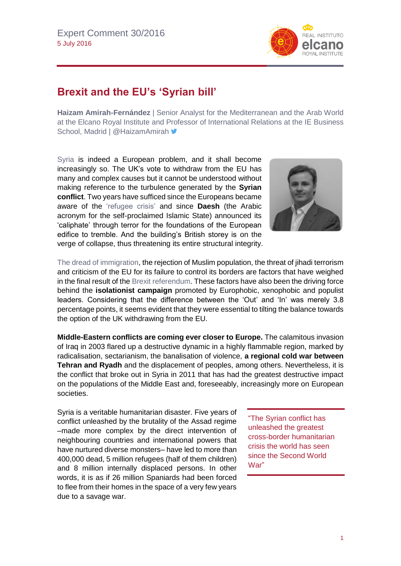

## **Brexit and the EU's 'Syrian bill'**

**Haizam Amirah-Fernández** | Senior Analyst for the Mediterranean and the Arab World at the Elcano Royal Institute and Professor of International Relations at the IE Business School, Madrid | @HaizamAmirah >

[Syria](http://www.blog.rielcano.org/en/tag/syria/) is indeed a European problem, and it shall become increasingly so. The UK's vote to withdraw from the EU has many and complex causes but it cannot be understood without making reference to the turbulence generated by the **Syrian conflict**. Two years have sufficed since the Europeans became aware of the ['refugee crisis'](http://www.blog.rielcano.org/en/tag/refugee-crisis/) and since **Daesh** (the Arabic acronym for the self-proclaimed Islamic State) announced its 'caliphate' through terror for the foundations of the European edifice to tremble. And the building's British storey is on the verge of collapse, thus threatening its entire structural integrity.



[The dread of immigration,](http://www.realinstitutoelcano.org/wps/portal/web/rielcano_es/contenido?WCM_GLOBAL_CONTEXT=/elcano/elcano_es/zonas_es/comentario-gonzalezenriquez-inmigracion-y-brexit-un-referendum-inutil) the rejection of Muslim population, the threat of jihadi terrorism and criticism of the EU for its failure to control its borders are factors that have weighed in the final result of th[e Brexit referendum.](http://www.realinstitutoelcano.org/especiales/brexit/) These factors have also been the driving force behind the **isolationist campaign** promoted by Europhobic, xenophobic and populist leaders. Considering that the difference between the 'Out' and 'In' was merely 3.8 percentage points, it seems evident that they were essential to tilting the balance towards the option of the UK withdrawing from the EU.

**Middle-Eastern conflicts are coming ever closer to Europe.** The calamitous invasion of Iraq in 2003 flared up a destructive dynamic in a highly flammable region, marked by radicalisation, sectarianism, the banalisation of violence, **a regional cold war between Tehran and Ryadh** and the displacement of peoples, among others. Nevertheless, it is the conflict that broke out in Syria in 2011 that has had the greatest destructive impact on the populations of the Middle East and, foreseeably, increasingly more on European societies.

Syria is a veritable humanitarian disaster. Five years of conflict unleashed by the brutality of the Assad regime –made more complex by the direct intervention of neighbouring countries and international powers that have nurtured diverse monsters– have led to more than 400,000 dead, 5 million refugees (half of them children) and 8 million internally displaced persons. In other words, it is as if 26 million Spaniards had been forced to flee from their homes in the space of a very few years due to a savage war.

"The Syrian conflict has unleashed the greatest cross-border humanitarian crisis the world has seen since the Second World War"